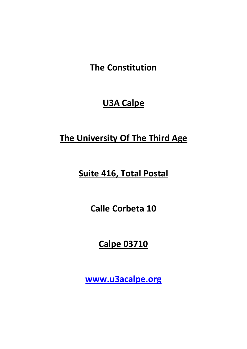# **The Constitution**

# **U3A Calpe**

# **The University Of The Third Age**

# **Suite 416, Total Postal**

**Calle Corbeta 10** 

**Calpe 03710** 

**www.u3acalpe.org**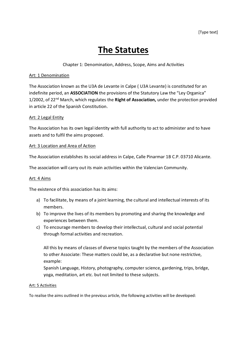# **The Statutes**

#### Chapter 1: Denomination, Address, Scope, Aims and Activities

#### Art: 1 Denomination

The Association known as the U3A de Levante in Calpe ( U3A Levante) is constituted for an indefinite period, an **ASSOCIATION** the provisions of the Statutory Law the "Ley Organica" 1/2002, of 22nd March, which regulates the **Right of Association,** under the protection provided in article 22 of the Spanish Constitution.

#### Art: 2 Legal Entity

The Association has its own legal identity with full authority to act to administer and to have assets and to fulfil the aims proposed.

#### Art: 3 Location and Area of Action

The Association establishes its social address in Calpe, Calle Pinarmar 1B C.P. 03710 Alicante.

The association will carry out its main activities within the Valencian Community.

#### Art: 4 Aims

The existence of this association has its aims:

- a) To facilitate, by means of a joint learning, the cultural and intellectual interests of its members.
- b) To improve the lives of its members by promoting and sharing the knowledge and experiences between them.
- c) To encourage members to develop their intellectual, cultural and social potential through formal activities and recreation.

All this by means of classes of diverse topics taught by the members of the Association to other Associate: These matters could be, as a declarative but none restrictive, example:

Spanish Language, History, photography, computer science, gardening, trips, bridge, yoga, meditation, art etc. but not limited to these subjects.

#### Art: 5 Activities

To realise the aims outlined in the previous article, the following activities will be developed: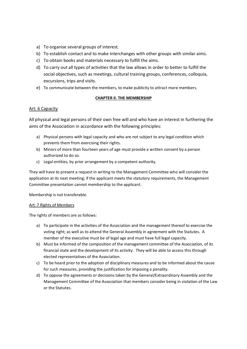- a) To organise several groups of interest.
- b) To establish contact and to make interchanges with other groups with similar aims.
- c) To obtain books and materials necessary to fulfill the aims.
- d) To carry out all types of activities that the law allows in order to better to fulfill the social objectives, such as meetings, cultural training groups, conferences, colloquia, excursions, trips and visits.
- e) To communicate between the members, to make publicity to attract more members.

#### **CHAPTER II. THE MEMBERSHIP**

#### Art: 6 Capacity

All physical and legal persons of their own free will and who have an interest in furthering the aims of the Association in accordance with the following principles:

- a) Physical persons with legal capacity and who are not subject to any legal condition which prevents them from exercising their rights.
- b) Minors of more than fourteen years of age must provide a written consent by a person authorized to do so.
- c) Legal entities, by prior arrangement by a competent authority.

They will have to present a request in writing to the Management Committee who will consider the application at its next meeting; if the applicant meets the statutory requirements, the Management Committee presentation cannot membership to the applicant.

Membership is not transferable.

#### Art: 7 Rights of Members

The rights of members are as follows:

- a) To participate in the activities of the Association and the management thereof to exercise the voting right; as well as to attend the General Assembly in agreement with the Statutes. A member of the executive must be of legal age and must have full legal capacity.
- b) Must be informed of the composition of the management committee of the Association, of its financial state and the development of its activity. They will be able to access this through elected representatives of the Association.
- c) To be heard prior to the adoption of disciplinary measures and to be informed about the cause for such measures, providing the justification for imposing a penality.
- d) To oppose the agreements or decisions taken by the General/Extraordinary Assembly and the Management Committee of the Association that members consider being in violation of the Law or the Statutes.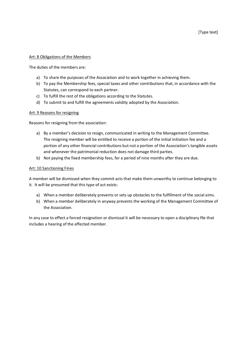#### Art: 8 Obligations of the Members

The duties of the members are:

- a) To share the purposes of the Association and to work together in achieving them.
- b) To pay the Membership fees, special taxes and other contributions that, in accordance with the Statutes, can correspond to each partner.
- c) To fulfill the rest of the obligations according to the Statutes.
- d) To submit to and fulfill the agreements validity adopted by the Association.

#### Art: 9 Reasons for resigning

Reasons for resigning from the association:

- a) By a member's decision to resign, communicated in writing to the Management Committee. The resigning member will be entitled to receive a portion of the initial initiation fee and a portion of any other financial contributions but not a portion of the Association's tangible assets and whenever the patrimonial reduction does not damage third parties.
- b) Not paying the fixed membership fees, for a period of nine months after they are due.

#### Art: 10 Sanctioning Fines

A member will be dismissed when they commit acts that make them unworthy to continue belonging to it. It will be presumed that this type of act exists:

- a) When a member deliberately prevents or sets up obstacles to the fulfillment of the social aims.
- b) When a member deliberately in anyway prevents the working of the Management Committee of the Association.

In any case to effect a forced resignation or dismissal it will be necessary to open a disciplinary file that includes a hearing of the affected member.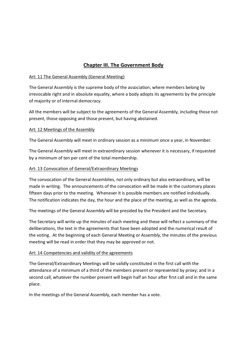## **Chapter III. The Government Body**

#### Art: 11 The General Assembly (General Meeting)

The General Assembly is the supreme body of the association, where members belong by irrevocable right and in absolute equality, where a body adopts its agreements by the principle of majority or of internal democracy.

All the members will be subject to the agreements of the General Assembly, including those not present, those opposing and those present, but having abstained.

#### Art: 12 Meetings of the Assembly

The General Assembly will meet in ordinary session as a minimum once a year, in November.

The General Assembly will meet in extraordinary session whenever it is necessary, if requested by a minimum of ten per cent of the total membership.

#### Art: 13 Convocation of General/Extraordinary Meetings

The convocation of the General Assemblies, not only ordinary but also extraordinary, will be made in writing. The announcements of the convocation will be made in the customary places fifteen days prior to the meeting. Whenever it is possible members are notified individually. The notification indicates the day, the hour and the place of the meeting, as well as the agenda.

The meetings of the General Assembly will be presided by the President and the Secretary.

The Secretary will write up the minutes of each meeting and these will reflect a summary of the deliberations, the text in the agreements that have been adopted and the numerical result of the voting. At the beginning of each General Meeting or Assembly, the minutes of the previous meeting will be read in order that they may be approved or not.

### Art: 14 Competencies and validity of the agreements

The General/Extraordinary Meetings will be validly constituted in the first call with the attendance of a minimum of a third of the members present or represented by proxy; and in a second call, whatever the number present will begin half an hour after first call and in the same place.

In the meetings of the General Assembly, each member has a vote.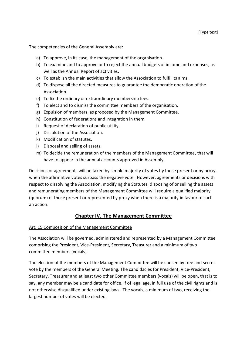The competencies of the General Assembly are:

- a) To approve, in its case, the management of the organisation.
- b) To examine and to approve or to reject the annual budgets of income and expenses, as well as the Annual Report of activities.
- c) To establish the main activities that allow the Association to fulfil its aims.
- d) To dispose all the directed measures to guarantee the democratic operation of the Association.
- e) To fix the ordinary or extraordinary membership fees.
- f) To elect and to dismiss the committee members of the organisation.
- g) Expulsion of members, as proposed by the Management Committee.
- h) Constitution of federations and integration in them.
- i) Request of declaration of public utility.
- j) Dissolution of the Association.
- k) Modification of statutes.
- l) Disposal and selling of assets.
- m) To decide the remuneration of the members of the Management Committee, that will have to appear in the annual accounts approved in Assembly.

Decisions or agreements will be taken by simple majority of votes by those present or by proxy, when the affirmative votes surpass the negative vote. However, agreements or decisions with respect to dissolving the Association, modifying the Statutes, disposing of or selling the assets and remunerating members of the Management Committee will require a qualified majority (quorum) of those present or represented by proxy when there is a majority in favour of such an action.

## **Chapter IV. The Management Committee**

#### Art: 15 Composition of the Management Committee

The Association will be governed, administered and represented by a Management Committee comprising the President, Vice‐President, Secretary, Treasurer and a minimum of two committee members (vocals).

The election of the members of the Management Committee will be chosen by free and secret vote by the members of the General Meeting. The candidacies for President, Vice‐President, Secretary, Treasurer and at least two other Committee members (vocals) will be open, that is to say, any member may be a candidate for office, if of legal age, in full use of the civil rights and is not otherwise disqualified under existing laws. The vocals, a minimum of two, receiving the largest number of votes will be elected.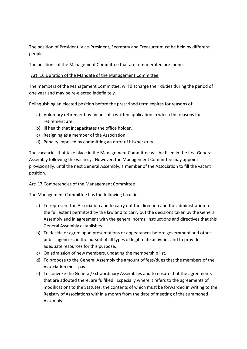The position of President, Vice-President, Secretary and Treasurer must be held by different people.

The positions of the Management Committee that are remunerated are: none.

### Art: 16 Duration of the Mandate of the Management Committee

The members of the Management Committee, will discharge their duties during the period of one year and may be re‐elected indefinitely.

Relinquishing an elected position before the prescribed term expires for reasons of:

- a) Voluntary retirement by means of a written application in which the reasons for retirement are:
- b) Ill health that incapacitates the office holder.
- c) Resigning as a member of the Association.
- d) Penalty imposed by committing an error of his/her duty.

The vacancies that take place in the Management Committee will be filled in the first General Assembly following the vacancy. However, the Management Committee may appoint provisionally, until the next General Assembly, a member of the Association to fill the vacant position.

### Art: 17 Competencies of the Management Committee

The Management Committee has the following faculties:

- a) To represent the Association and to carry out the direction and the administration to the full extent permitted by the law and to carry out the decisions taken by the General Assembly and in agreement with the general norms, instructions and directives that this General Assembly establishes.
- b) To decide or agree upon presentations or appearances before government and other public agencies, in the pursuit of all types of legitimate activities and to provide adequate resources for this purpose.
- c) On admission of new members, updating the membership list.
- d) To propose to the General Assembly the amount of fees/dues that the members of the Association must pay.
- e) To convoke the General/Extraordinary Assemblies and to ensure that the agreements that are adopted there, are fulfilled. Especially where it refers to the agreements of modifications to the Statutes, the contents of which must be forwarded in writing to the Registry of Associations within a month from the date of meeting of the summoned Assembly.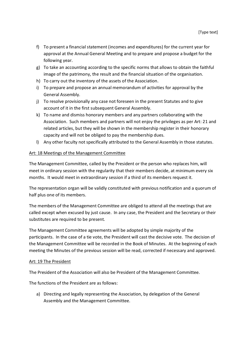- f) To present a financial statement (incomes and expenditures) for the current year for approval at the Annual General Meeting and to prepare and propose a budget for the following year.
- g) To take an accounting according to the specific norms that allows to obtain the faithful image of the patrimony, the result and the financial situation of the organisation.
- h) To carry out the inventory of the assets of the Association.
- i) To prepare and propose an annual memorandum of activities for approval by the General Assembly.
- j) To resolve provisionally any case not foreseen in the present Statutes and to give account of it in the first subsequent General Assembly.
- k) To name and dismiss honorary members and any partners collaborating with the Association. Such members and partners will not enjoy the privileges as per Art: 21 and related articles, but they will be shown in the membership register in their honorary capacity and will not be obliged to pay the membership dues.
- l) Any other faculty not specifically attributed to the General Assembly in those statutes.

#### Art: 18 Meetings of the Management Committee

The Management Committee, called by the President or the person who replaces him, will meet in ordinary session with the regularity that their members decide, at minimum every six months. It would meet in extraordinary session if a third of its members request it.

The representation organ will be validly constituted with previous notification and a quorum of half plus one of its members.

The members of the Management Committee are obliged to attend all the meetings that are called except when excused by just cause. In any case, the President and the Secretary or their substitutes are required to be present.

The Management Committee agreements will be adopted by simple majority of the participants. In the case of a tie vote, the President will cast the decisive vote. The decision of the Management Committee will be recorded in the Book of Minutes. At the beginning of each meeting the Minutes of the previous session will be read, corrected if necessary and approved.

#### Art: 19 The President

The President of the Association will also be President of the Management Committee.

The functions of the President are as follows:

a) Directing and legally representing the Association, by delegation of the General Assembly and the Management Committee.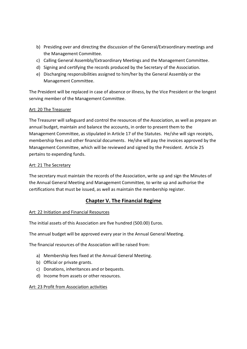- b) Presiding over and directing the discussion of the General/Extraordinary meetings and the Management Committee.
- c) Calling General Assembly/Extraordinary Meetings and the Management Committee.
- d) Signing and certifying the records produced by the Secretary of the Association.
- e) Discharging responsibilities assigned to him/her by the General Assembly or the Management Committee.

The President will be replaced in case of absence or illness, by the Vice President or the longest serving member of the Management Committee.

### Art: 20 The Treasurer

The Treasurer will safeguard and control the resources of the Association, as well as prepare an annual budget, maintain and balance the accounts, in order to present them to the Management Committee, as stipulated in Article 17 of the Statutes. He/she will sign receipts, membership fees and other financial documents. He/she will pay the invoices approved by the Management Committee, which will be reviewed and signed by the President. Article 25 pertains to expending funds.

#### Art: 21 The Secretary

The secretary must maintain the records of the Association, write up and sign the Minutes of the Annual General Meeting and Management Committee, to write up and authorise the certifications that must be issued, as well as maintain the membership register.

## **Chapter V. The Financial Regime**

### Art: 22 Initiation and Financial Resources

The initial assets of this Association are five hundred (500.00) Euros.

The annual budget will be approved every year in the Annual General Meeting.

The financial resources of the Association will be raised from:

- a) Membership fees fixed at the Annual General Meeting.
- b) Official or private grants.
- c) Donations, inheritances and or bequests.
- d) Income from assets or other resources.

#### Art: 23 Profit from Association activities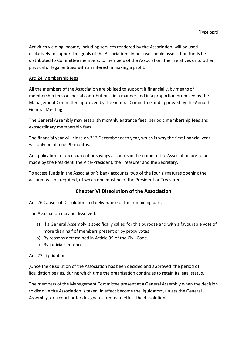Activities yielding income, including services rendered by the Association, will be used exclusively to support the goals of the Association. In no case should association funds be distributed to Committee members, to members of the Association, their relatives or to other physical or legal entities with an interest in making a profit.

#### Art: 24 Membership fees

All the members of the Association are obliged to support it financially, by means of membership fees or special contributions, in a manner and in a proportion proposed by the Management Committee approved by the General Committee and approved by the Annual General Meeting.

The General Assembly may establish monthly entrance fees, periodic membership fees and extraordinary membership fees.

The financial year will close on  $31<sup>st</sup>$  December each year, which is why the first financial year will only be of nine (9) months.

An application to open current or savings accounts in the name of the Association are to be made by the President, the Vice-President, the Treasurer and the Secretary.

To access funds in the Association's bank accounts, two of the four signatures opening the account will be required, of which one must be of the President or Treasurer.

## **Chapter VI Dissolution of the Association**

### Art: 26 Causes of Dissolution and deliverance of the remaining part.

The Association may be dissolved:

- a) If a General Assembly is specifically called for this purpose and with a favourable vote of more than half of members present or by proxy votes
- b) By reasons determined in Article 39 of the Civil Code.
- c) By judicial sentence.

#### Art: 27 Liquidation

Once the dissolution of the Association has been decided and approved, the period of liquidation begins, during which time the organisation continues to retain its legal status.

The members of the Management Committee present at a General Assembly when the decision to dissolve the Association is taken, in effect become the liquidators, unless the General Assembly, or a court order designates others to effect the dissolution.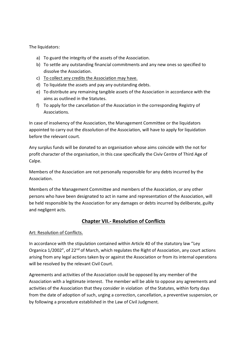The liquidators:

- a) To guard the integrity of the assets of the Association.
- b) To settle any outstanding financial commitments and any new ones so specified to dissolve the Association.
- c) To collect any credits the Association may have.
- d) To liquidate the assets and pay any outstanding debts.
- e) To distribute any remaining tangible assets of the Association in accordance with the aims as outlined in the Statutes.
- f) To apply for the cancellation of the Association in the corresponding Registry of Associations.

In case of insolvency of the Association, the Management Committee or the liquidators appointed to carry out the dissolution of the Association, will have to apply for liquidation before the relevant court.

Any surplus funds will be donated to an organisation whose aims coincide with the not for profit character of the organisation, in this case specifically the Civiv Centre of Third Age of Calpe.

Members of the Association are not personally responsible for any debts incurred by the Association.

Members of the Management Committee and members of the Association, or any other persons who have been designated to act in name and representation of the Association, will be held responsible by the Association for any damages or debts incurred by deliberate, guilty and negligent acts.

## **Chapter VII.‐ Resolution of Conflicts**

#### Art: Resolution of Conflicts.

In accordance with the stipulation contained within Article 40 of the statutory law "Ley Organica 1/2002", of 22<sup>nd</sup> of March, which regulates the Right of Association, any court actions arising from any legal actions taken by or against the Association or from its internal operations will be resolved by the relevant Civil Court.

Agreements and activities of the Association could be opposed by any member of the Association with a legitimate interest. The member will be able to oppose any agreements and activities of the Association that they consider in violation of the Statutes, within forty days from the date of adoption of such, urging a correction, cancellation, a preventive suspension, or by following a procedure established in the Law of Civil Judgment.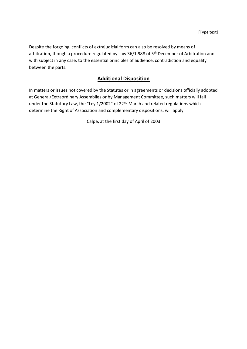Despite the forgoing, conflicts of extrajudicial form can also be resolved by means of arbitration, though a procedure regulated by Law 36/1,988 of  $5<sup>th</sup>$  December of Arbitration and with subject in any case, to the essential principles of audience, contradiction and equality between the parts.

## **Additional Disposition**

In matters or issues not covered by the Statutes or in agreements or decisions officially adopted at General/Extraordinary Assemblies or by Management Committee, such matters will fall under the Statutory Law, the "Ley 1/2002" of 22<sup>nd</sup> March and related regulations which determine the Right of Association and complementary dispositions, will apply.

Calpe, at the first day of April of 2003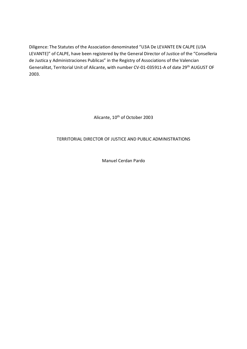Diligence: The Statutes of the Association denominated "U3A De LEVANTE EN CALPE (U3A LEVANTE)" of CALPE, have been registered by the General Director of Justice of the "Conselleria de Justica y Administraciones Publicas" in the Registry of Associations of the Valencian Generalitat, Territorial Unit of Alicante, with number CV‐01‐035911‐A of date 29th AUGUST OF 2003.

Alicante, 10<sup>th</sup> of October 2003

## TERRITORIAL DIRECTOR OF JUSTICE AND PUBLIC ADMINISTRATIONS

Manuel Cerdan Pardo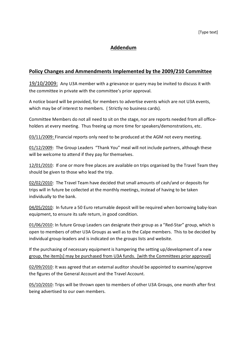## **Addendum**

## **Policy Changes and Ammendments Implemented by the 2009/210 Committee**

19/10/2009: Any U3A member with a grievance or query may be invited to discuss it with the committee in private with the committee's prior approval.

A notice board will be provided, for members to advertise events which are not U3A events, which may be of interest to members. (Strictly no business cards).

Committee Members do not all need to sit on the stage, nor are reports needed from all office‐ holders at every meeting. Thus freeing up more time for speakers/demonstrations, etc.

03/11/2009: Financial reports only need to be produced at the AGM not every meeting.

01/12/2009: The Group Leaders "Thank You" meal will not include partners, although these will be welcome to attend if they pay for themselves.

12/01/2010: If one or more free places are available on trips organised by the Travel Team they should be given to those who lead the trip.

02/02/2010: The Travel Team have decided that small amounts of cash/and or deposits for trips will in future be collected at the monthly meetings, instead of having to be taken individually to the bank.

04/05/2010: In future a 50 Euro returnable deposit will be required when borrowing baby-loan equipment, to ensure its safe return, in good condition.

01/06/2010: In future Group Leaders can designate their group as a "Red-Star" group, which is open to members of other U3A Groups as well as to the Calpe members. This to be decided by individual group‐leaders and is indicated on the groups lists and website.

If the purchasing of necessary equipment is hampering the setting up/development of a new group, the item[s] may be purchased from U3A funds. [with the Committees prior approval]

02/09/2010: It was agreed that an external auditor should be appointed to examine/approve the figures of the General Account and the Travel Account.

05/10/2010: Trips will be thrown open to members of other U3A Groups, one month after first being advertised to our own members.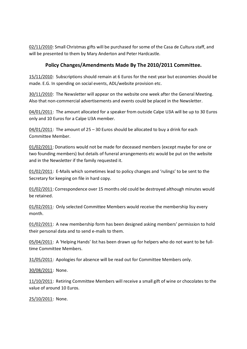02/11/2010: Small Christmas gifts will be purchased for some of the Casa de Cultura staff, and will be presented to them by Mary Anderton and Peter Hardcastle.

## **Policy Changes/Amendments Made By The 2010/2011 Committee.**

15/11/2010: Subscriptions should remain at 6 Euros for the next year but economies should be made. E.G. In spending on social events, ADL/website provision etc.

30/11/2010: The Newsletter will appear on the website one week after the General Meeting. Also that non‐commercial advertisements and events could be placed in the Newsletter.

04/01/2011: The amount allocated for a speaker from outside Calpe U3A will be up to 30 Euros only and 10 Euros for a Calpe U3A member.

 $04/01/2011$ : The amount of 25 – 30 Euros should be allocated to buy a drink for each Committee Member.

01/02/2011: Donations would not be made for deceased members (except maybe for one or two founding members) but details of funeral arrangements etc would be put on the website and in the Newsletter if the family requested it.

01/02/2011: E-Mails which sometimes lead to policy changes and 'rulings' to be sent to the Secretary for keeping on file in hard copy.

01/02/2011: Correspondence over 15 months old could be destroyed although minutes would be retained.

01/02/2011: Only selected Committee Members would receive the membership lisy every month.

01/02/2011: A new membership form has been designed asking members' permission to hold their personal data and to send e‐mails to them.

05/04/2011: A 'Helping Hands' list has been drawn up for helpers who do not want to be fulltime Committee Members.

31/05/2011: Apologies for absence will be read out for Committee Members only.

30/08/2011: None.

11/10/2011: Retiring Committee Members will receive a small gift of wine or chocolates to the value of around 10 Euros.

25/10/2011: None.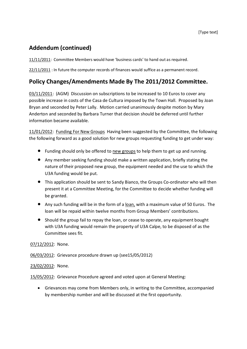## **Addendum (continued)**

11/11/2011: Committee Members would have 'business cards' to hand out as required.

22/11/2011 : In future the computer records of finances would suffice as a permanent record.

## **Policy Changes/Amendments Made By The 2011/2012 Committee.**

03/11/2011: (AGM) Discussion on subscriptions to be increased to 10 Euros to cover any possible increase in costs of the Casa de Cultura imposed by the Town Hall. Proposed by Joan Bryan and seconded by Peter Lally. Motion carried unanimously despite motion by Mary Anderton and seconded by Barbara Turner that decision should be deferred until further information became available.

11/01/2012: Funding For New Groups Having been suggested by the Committee, the following the following forward as a good solution for new groups requesting funding to get under way:

- Funding should only be offered to new groups to help them to get up and running.
- Any member seeking funding should make a written application, briefly stating the nature of their proposed new group, the equipment needed and the use to which the U3A funding would be put.
- This application should be sent to Sandy Bianco, the Groups Co-ordinator who will then present it at a Committee Meeting, for the Committee to decide whether funding will be granted.
- Any such funding will be in the form of a loan, with a maximum value of 50 Euros. The loan will be repaid within twelve months from Group Members' contributions.
- Should the group fail to repay the loan, or cease to operate, any equipment bought with U3A funding would remain the property of U3A Calpe, to be disposed of as the Committee sees fit.

07/12/2012: None.

06/03/2012: Grievance procedure drawn up (see15/05/2012)

### 23/02/2012: None.

15/05/2012: Grievance Procedure agreed and voted upon at General Meeting:

 Grievances may come from Members only, in writing to the Committee, accompanied by membership number and will be discussed at the first opportunity.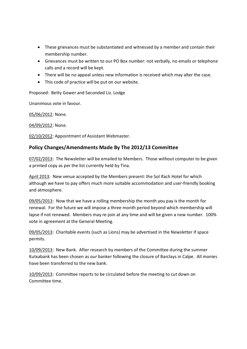- These grievances must be substantiated and witnessed by a member and contain their membership number.
- Grievances must be written to our PO Box number: not verbally, no emails or telephone calls and a record will be kept.
- There will be no appeal unless new information is received which may alter the case.
- This code of practice will be put on our website.

Proposed: Betty Gower and Seconded Liz. Lodge

Unanimous vote in favour.

05/06/2012: None.

04/09/2012: None.

02/10/2012: Appointment of Assistant Webmaster.

## **Policy Changes/Amendments Made By The 2012/13 Committee**

07/02/2013: The Newsletter will be emailed to Members. Those without computer to be given a printed copy as per the list currently held by Tina.

April 2013: New venue accepted by the Members present: the Sol Ifach Hotel for which although we have to pay offers much more suitable accommodation and user‐friendly booking and atmosphere.

09/05/2013: Now that we have a rolling membership the month you pay is the month for renewal. For the future we will impose a three month period beyond which membership will lapse if not renewed. Members may re-join at any time and will be given a new number. 100% vote in agreement at the General Meeting.

09/05/2013: Charitable events (such as Lions) may be advertised in the Newsletter if space permits.

10/09/2013: New Bank. After research by members of the Committee during the summer Kutxabank has been chosen as our banker following the closure of Barclays in Calpe. All monies have been transferred to the new bank.

10/09/2013: Committee reports to be circulated before the meeting to cut down on Committee time.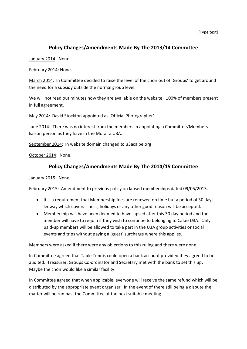## **Policy Changes/Amendments Made By The 2013/14 Committee**

January 2014: None.

February 2014: None.

March 2014: In Committee decided to raise the level of the choir out of 'Groups' to get around the need for a subsidy outside the normal group level.

We will not read out minutes now they are available on the website. 100% of members present in full agreement.

May 2014: David Stockton appointed as 'Official Photographer'.

June 2014: There was no interest from the members in appointing a Committee/Members liaison person as they have in the Moraira U3A.

September 2014: In website domain changed to u3acalpe.org

October 2014: None.

## **Policy Changes/Amendments Made By The 2014/15 Committee**

January 2015: None.

February 2015: Amendment to previous policy on lapsed memberships dated 09/05/2013.

- It is a requirement that Membership fees are renewed on time but a period of 30 days leeway which covers illness, holidays or any other good reason will be accepted.
- Membership will have been deemed to have lapsed after this 30 day period and the member will have to re-join if they wish to continue to belonging to Calpe U3A. Only paid‐up members will be allowed to take part in the U3A group activities or social events and trips without paying a 'guest' surcharge where this applies.

Members were asked if there were any objections to this ruling and there were none.

In Committee agreed that Table Tennis could open a bank account provided they agreed to be audited. Treasurer, Groups Co-ordinator and Secretary met with the bank to set this up. Maybe the choir would like a similar facility.

In Committee agreed that when applicable, everyone will receive the same refund which will be distributed by the appropriate event organiser. In the event of there still being a dispute the matter will be run past the Committee at the next suitable meeting.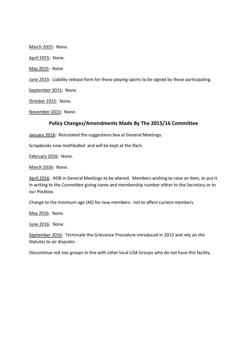March 2015: None.

April 2015: None.

May 2015: None.

June 2015: Liability release form for those playing sports to be signed by those participating.

September 2015: None.

October 2015: None.

November 2015: None.

### **Policy Changes/Amendments Made By The 2015/16 Committee**

January 2016: Reinstated the suggestions box at General Meetings.

Scrapbooks now mothballed and will be kept at the Ifach.

February 2016: None.

March 2016: None.

April 2016: AOB in General Meetings to be altered. Members wishing to raise an item, to put it in writing to the Committee giving name and membership number either to the Secretary or to our Postbox.

Change to the minimum age (40) for new members: not to affect current members.

May 2016: None.

June 2016: None.

September 2016: Terminate the Grievance Procedure introduced in 2012 and rely on the Statutes to air disputes.

Discontinue red star groups in line with other local U3A Groups who do not have this facility.